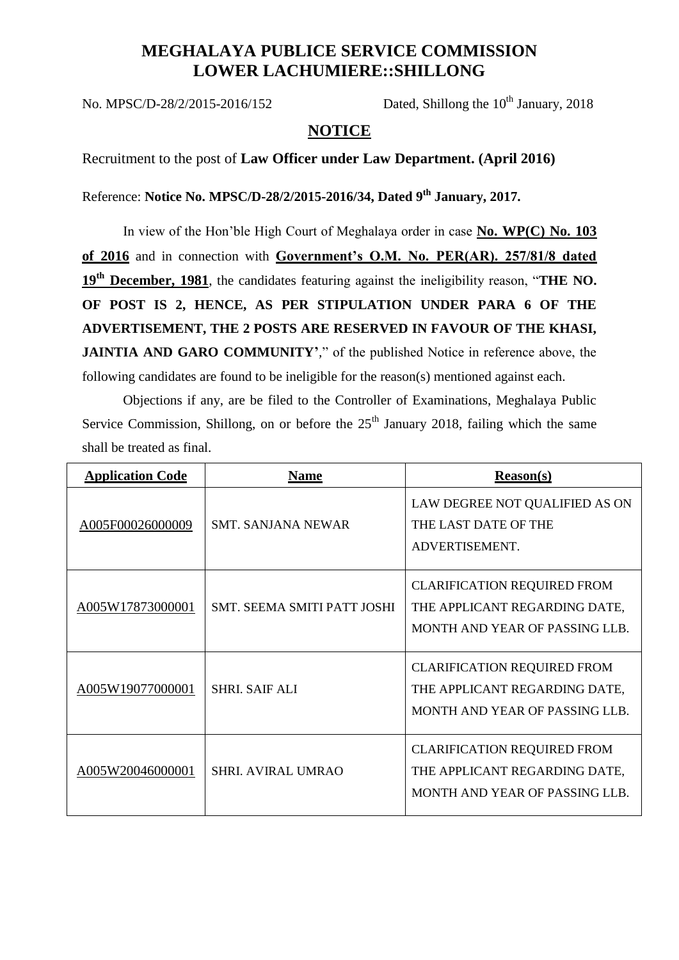## **MEGHALAYA PUBLICE SERVICE COMMISSION LOWER LACHUMIERE::SHILLONG**

No. MPSC/D-28/2/2015-2016/152 Dated, Shillong the  $10^{th}$  January, 2018

## **NOTICE**

Recruitment to the post of **Law Officer under Law Department. (April 2016)**

Reference: **Notice No. MPSC/D-28/2/2015-2016/34, Dated 9th January, 2017.**

In view of the Hon'ble High Court of Meghalaya order in case **No. WP(C) No. 103 of 2016** and in connection with **Government's O.M. No. PER(AR). 257/81/8 dated 19th December, 1981**, the candidates featuring against the ineligibility reason, "**THE NO. OF POST IS 2, HENCE, AS PER STIPULATION UNDER PARA 6 OF THE ADVERTISEMENT, THE 2 POSTS ARE RESERVED IN FAVOUR OF THE KHASI, JAINTIA AND GARO COMMUNITY'***,*" of the published Notice in reference above, the following candidates are found to be ineligible for the reason(s) mentioned against each.

Objections if any, are be filed to the Controller of Examinations, Meghalaya Public Service Commission, Shillong, on or before the  $25<sup>th</sup>$  January 2018, failing which the same shall be treated as final.

| <b>Application Code</b> | <b>Name</b>                        | <b>Reason(s)</b>                                                                                      |
|-------------------------|------------------------------------|-------------------------------------------------------------------------------------------------------|
| A005F00026000009        | <b>SMT. SANJANA NEWAR</b>          | LAW DEGREE NOT QUALIFIED AS ON<br>THE LAST DATE OF THE<br>ADVERTISEMENT.                              |
| A005W17873000001        | <b>SMT. SEEMA SMITI PATT JOSHI</b> | <b>CLARIFICATION REQUIRED FROM</b><br>THE APPLICANT REGARDING DATE,<br>MONTH AND YEAR OF PASSING LLB. |
| A005W19077000001        | <b>SHRL SAIF ALI</b>               | <b>CLARIFICATION REQUIRED FROM</b><br>THE APPLICANT REGARDING DATE,<br>MONTH AND YEAR OF PASSING LLB. |
| A005W20046000001        | <b>SHRI. AVIRAL UMRAO</b>          | <b>CLARIFICATION REQUIRED FROM</b><br>THE APPLICANT REGARDING DATE,<br>MONTH AND YEAR OF PASSING LLB. |